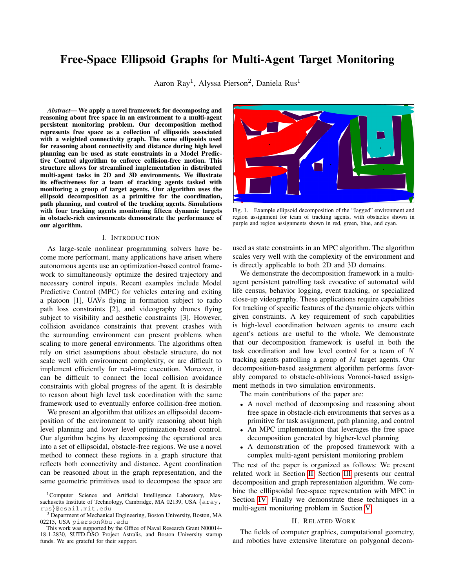# Free-Space Ellipsoid Graphs for Multi-Agent Target Monitoring

Aaron Ray<sup>1</sup>, Alyssa Pierson<sup>2</sup>, Daniela Rus<sup>1</sup>

*Abstract*— We apply a novel framework for decomposing and reasoning about free space in an environment to a multi-agent persistent monitoring problem. Our decomposition method represents free space as a collection of ellipsoids associated with a weighted connectivity graph. The same ellipsoids used for reasoning about connectivity and distance during high level planning can be used as state constraints in a Model Predictive Control algorithm to enforce collision-free motion. This structure allows for streamlined implementation in distributed multi-agent tasks in 2D and 3D environments. We illustrate its effectiveness for a team of tracking agents tasked with monitoring a group of target agents. Our algorithm uses the ellipsoid decomposition as a primitive for the coordination, path planning, and control of the tracking agents. Simulations with four tracking agents monitoring fifteen dynamic targets in obstacle-rich environments demonstrate the performance of our algorithm.

# I. INTRODUCTION

As large-scale nonlinear programming solvers have become more performant, many applications have arisen where autonomous agents use an optimization-based control framework to simultaneously optimize the desired trajectory and necessary control inputs. Recent examples include Model Predictive Control (MPC) for vehicles entering and exiting a platoon [1], UAVs flying in formation subject to radio path loss constraints [2], and videography drones flying subject to visibility and aesthetic constraints [3]. However, collision avoidance constraints that prevent crashes with the surrounding environment can present problems when scaling to more general environments. The algorithms often rely on strict assumptions about obstacle structure, do not scale well with environment complexity, or are difficult to implement efficiently for real-time execution. Moreover, it can be difficult to connect the local collision avoidance constraints with global progress of the agent. It is desirable to reason about high level task coordination with the same framework used to eventually enforce collision-free motion.

We present an algorithm that utilizes an ellipsoidal decomposition of the environment to unify reasoning about high level planning and lower level optimization-based control. Our algorithm begins by decomposing the operational area into a set of ellipsoidal, obstacle-free regions. We use a novel method to connect these regions in a graph structure that reflects both connectivity and distance. Agent coordination can be reasoned about in the graph representation, and the same geometric primitives used to decompose the space are

<span id="page-0-1"></span>

Fig. 1. Example ellipsoid decomposition of the "Jagged" environment and region assignment for team of tracking agents, with obstacles shown in purple and region assignments shown in red, green, blue, and cyan.

used as state constraints in an MPC algorithm. The algorithm scales very well with the complexity of the environment and is directly applicable to both 2D and 3D domains.

We demonstrate the decomposition framework in a multiagent persistent patrolling task evocative of automated wild life census, behavior logging, event tracking, or specialized close-up videography. These applications require capabilities for tracking of specific features of the dynamic objects within given constraints. A key requirement of such capabilities is high-level coordination between agents to ensure each agent's actions are useful to the whole. We demonstrate that our decomposition framework is useful in both the task coordination and low level control for a team of N tracking agents patrolling a group of M target agents. Our decomposition-based assignment algorithm performs favorably compared to obstacle-oblivious Voronoi-based assignment methods in two simulation environments.

The main contributions of the paper are:

- A novel method of decomposing and reasoning about free space in obstacle-rich environments that serves as a primitive for task assignment, path planning, and control
- An MPC implementation that leverages the free space decomposition generated by higher-level planning
- A demonstration of the proposed framework with a complex multi-agent persistent monitoring problem

The rest of the paper is organized as follows: We present related work in Section [II.](#page-0-0) Section [III](#page-1-0) presents our central decomposition and graph representation algorithm. We combine the elllipsoidal free-space representation with MPC in Section [IV.](#page-2-0) Finally we demonstrate these techniques in a multi-agent monitoring problem in Section [V.](#page-4-0)

### II. RELATED WORK

<span id="page-0-0"></span>The fields of computer graphics, computational geometry, and robotics have extensive literature on polygonal decom-

<sup>&</sup>lt;sup>1</sup>Computer Science and Artificial Intelligence Laboratory, Massachusetts Institute of Technology, Cambridge, MA 02139, USA {aray, rus}@csail.mit.edu

 $2$  Department of Mechanical Engineering, Boston University, Boston, MA 02215, USA pierson@bu.edu

This work was supported by the Office of Naval Research Grant N00014- 18-1-2830, SUTD-DSO Project Astralis, and Boston University startup funds. We are grateful for their support.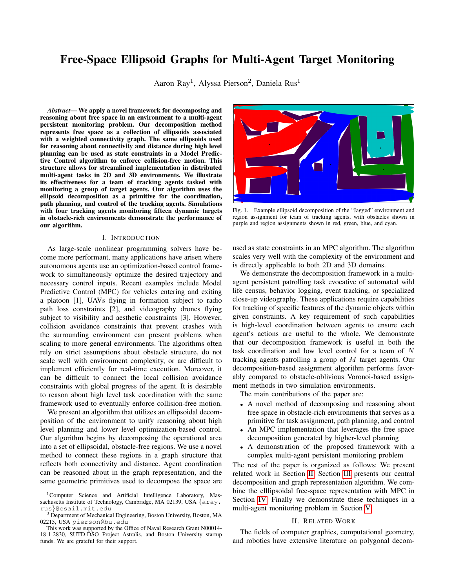positions. Seidel's trapezoidal algorithm [4] is a popular option for 2D decompositions. The Delaunay triangulation [5] is also often used in 2D and 3D. While both of these algorithms are efficient and provide complete decompositions of a region, the small individual pieces that they generate are a poor match for constraints in optimization-based control. We would instead prefer a smaller number of large regions in the decomposition. Finding the minimum number of convex polyhedra to cover a space is NP-Hard [6], [7], although there has been work in the direction of approximate minimal covers. Unfortunately existing solutions in this direction have various shortcomings (e.g. polynomial but large runtime [8] or restrictions to 2D [9]) that make them poor options for the 2D and 3D planning and control tasks that we have in mind. However, minimizing the total number of elements in the decomposition is less important than the quality of each. Even if the number of convex elements is not minimal, if each is large then a path between two points may only require traversing a small number of regions. To this end, we build upon the IRIS algorithm [10] that finds a single large convex region around a seed point.

The ideas in [11] are the closest to our own. In [11], the authors also decompose the free space into a collection of large convex regions to aide path planning. In contrast, our fixed-size representation of each convex region is more appropriate for optimization-based control, and our novel distance metric for building the connectivity graph is more general-purpose than their task-specific graph building.

Our example patrolling task draws inspiration from prior work in multi-agent target-tracking, coverage, persistent monitoring, and pursuer-evader games. One approach to tracking multiple targets with multiple agents is to divide the environment into regions among the trackers, such that each tracker is responsible for their subset of the environment. These coverage control approaches have been demonstrated in non-convex domains [12], [13], [14], [15] or when the total number of targets may be unknown [16], [17]. These coverage problems can also include constraints on viewpoints [18], or incorporate additional camera controls [19], [20] of the tracking vehicles. In persistent monitoring problems, the tracking agents must design strategies to continuously revisit targets within an environment, such as minimizing the time between observations of a given target [21]. Other work focuses on static targets [22] or non-convex environments [23].

Many of these existing works either simplify dynamic and kinematic constraints in order to provide capture guarantees, or consider the full reachability analysis at great computational cost. We demonstrate that our ellipsoid-based graph representation of the environment can address the target assignment and agent control problems in a unified framework and supports realistic, general dynamics models and realtime control. In the same vein as the author's prior work on cooperative target tracking with MPC [24], we show the benefits of jointly reasoning about high-level task coordination and low level control. Here, we focus on how our novel decomposition enables the high level task planning to be carried out with the same geometric primitives used to

ensure safe motion by the MPC.

# <span id="page-1-0"></span>III. ELLIPSOID DECOMPOSITION AND REPRESENTATION

## *A. Decomposition*

We compute an approximate decomposition of the environment's obstacle-free space as a union of convex regions using the IRIS library [10]. Given a seed point, IRIS finds hyperplanes that separate the seed point from all obstacles. The seed point is expanded to the maximum volume ellipsoid enclosed by the hyperplanes, and the process repeats by finding new hyperplanes that separate the ellipsoid from the obstacles. We generate a lattice  $\perp$  of points with spacing d and begin with no regions in the free-space decomposition E. Then, for each point in  $l \nightharpoonup L$ , if it is not contained by any region in  $E$ , we use IRIS to add a new obstacle-free region with  $l$  as the seed point, detailed in Algorithm [1.](#page-1-1)

The regions returned by IRIS can be represented in two ways: the bounding hyperplanes of the polyhedral regions, or the maximum volume ellipsoid constructed within them. Using the region defined by the hyperplanes is a more complete decomposition, but we prefer the ellipsoids for two reasons. First, the description of each region (a centroid and shape matrix) is of a constant size, while the polyhedral regions have varying numbers of sides. Constant-size region description yields a more desirable MPC implementation, as the resulting nonlinear program also has a constant size. Second, ellipsoid-based region descriptions lead to an elegant method of spatially relating free-space regions to each other. We denote ellipsoids as  $M(M, m) = f x j kx m k<sub>M</sub> 1g$ , where  $kwk_A^2 = w^T A w$ .

<span id="page-1-1"></span>

| <b>Algorithm 1 Ellipsoid Decomposition</b> |                                      |                                                  |
|--------------------------------------------|--------------------------------------|--------------------------------------------------|
| 1: procedure ELLIPSOIDDECOMPOSITION(O)     |                                      |                                                  |
| 2:                                         | $F =$ :                              | $\triangleright$ Ellipsoid set initialized empty |
| 3:                                         | LatticePoints $(d)$                  | $\triangleright$ Generate lattice points         |
| 4:                                         | $1$ $1$ $n1$ $\lambda$ $O$           | $\triangleright$ Cull points in obstacles        |
| 5:                                         | while $ L  > 0$ do                   |                                                  |
| 6:                                         | $l \quad l \quad 21$                 | $\triangleright$ Choose new lattice point        |
| 7:                                         | $1 \quad ln l$                       | $\triangleright$ Remove point from set           |
| 8:                                         | $E$ Inflate Ellipsoid(l, O) $\int E$ | $\triangleright$ Inflate                         |
| ellipsoid from lattice seed point          |                                      |                                                  |
| 9:                                         | for $p \n\geq \n\sqcup$ do           |                                                  |
| 10:                                        | if $p \, 2 \, E$ then                |                                                  |
| 11:                                        | $L \quad L \cap p$                   | $\triangleright$ Cull points covered by          |
|                                            | ellipsoid set                        |                                                  |
| 12:                                        | return $E$                           |                                                  |

# <span id="page-1-2"></span>*B. Graph Construction*

To facilitate using this collection of ellipsoids for spatial planning, we construct a graph  $G = (V, E)$  that represents the connectivity of the ellipsoids. Each ellipsoid  $E_j \nightharpoonup E$  is represented by a vertex  $v_j \nightharpoonup V$ , and two vertices share an edge if their associated ellipsoids intersect. We next present an efficient method for checking ellipsoid intersection, which has the benefit of finding a point in the intersection of the ellipsoids if one exists.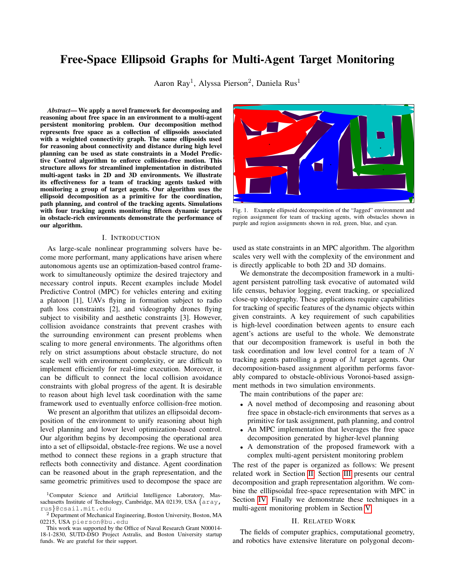<span id="page-2-2"></span>

Fig. 2. Example ellipsoid decomposition generated by Algorithm [1.](#page-1-1) Obstacles are represented in purple and the free-space ellipsoids in blue.

For two ellipsoids  $A(A, a)$  and  $B(B, b)$ , let

$$
E = \lambda A + (1 \lambda)B, \mathbf{m} = E^{-1}(\lambda A \mathbf{a} + (1 \lambda)B \mathbf{b}),
$$

for some  $\lambda$  2 [0, 1]. As proven in [25], **m** is in both ellipses simultaneously for some value of  $\lambda$  on [0, 1] if and only if the two ellipsoids intersect. For  $\lambda = 0$  and  $\lambda = 1$ , m is equal to the origin of ellipse  $B$  and  $A$  respectively. A bisection search on  $\lambda$  will either return a point in the intersection of A and  $B$ , or a point  $m<sub>z</sub>$  that is not in either ellipsoid–a certificate that the ellipsoids do not intersect.

The correctness of our bisection search relies on m moving monotonically from  $\beta$  to  $\beta$ . Proposition [1](#page-2-1) proves the monotonic behavior for axis-aligned ellipsoids with a diagonal shape matrix. In practice, we observe that monotonicity of m holds for general ellipsoids.

<span id="page-2-1"></span>Proposition 1. *Consider two axis-aligned ellipsoids* A(A, a) *and* B(B, b) *with diagonal shape matrices* A *and* B*.*  $k$ **m b** $k$ <sup>*B*</sup> *is monotonically increasing for*  $\lambda$  2 [0, 1]*.* 

*Proof.* First note that  $k$ **m b** $k$  is translation invariant. Without loss of generality, let  $\mathbf{b} = 0$ . Making use of the fact that diagonal matrices commute with each other,

$$
\begin{aligned}\n\text{km} \ \, k_B^2 &= \\
\mathbf{a}^T A^T (\lambda A + (1 - \lambda) B)^{-T} B (\lambda A + (1 - \lambda) B)^{-1} A \mathbf{a} \\
&= \mathbf{a}_i^2 B_{ii} \frac{\lambda A_{ii}}{\lambda A_{ii} + (1 - \lambda) B_{ii}} \n\end{aligned}
$$
\n
$$
= \begin{aligned}\n\text{km} \ \, k \left( \frac{\lambda A_{ii}}{\lambda A_{ii} + (1 - \lambda) B_{ii}} \right) \\
&= \begin{aligned}\n\text{km} \ \, k \left( \frac{\lambda A_{ii}}{\lambda A_{ii}} \right) \\
&= \begin{aligned}\n\text{km} \ \, k \left( \frac{\lambda A_{ii}}{\lambda A_{ii}} \right) \\
&= \begin{aligned}\n\text{km} \ \, k \left( \frac{\lambda A_{ii}}{\lambda A_{ii}} \right) \\
&= \begin{aligned}\n\text{km} \ \, k \left( \frac{\lambda A_{ii}}{\lambda A_{ii}} \right) \\
&= \begin{aligned}\n\text{km} \ \, k \left( \frac{\lambda A_{ii}}{\lambda A_{ii}} \right) \\
&= \begin{aligned}\n\text{km} \ \, k \left( \frac{\lambda A_{ii}}{\lambda A_{ii}} \right) \\
&= \begin{aligned}\n\text{km} \ \, k \left( \frac{\lambda A_{ii}}{\lambda A_{ii}} \right) \\
&= \begin{aligned}\n\text{km} \ \, k \left( \frac{\lambda A_{ii}}{\lambda A_{ii}} \right) \\
&= \begin{aligned}\n\text{km} \ \, k \left( \frac{\lambda A_{ii}}{\lambda A_{ii}} \right) \\
&= \begin{aligned}\n\text{km} \ \, k \left( \frac{\lambda A_{ii}}{\lambda A_{ii}} \right) \\
&= \begin{aligned}\n\text{km} \ \, k \left( \frac{\lambda A_{ii}}{\lambda A_{ii}} \right) \\
&= \begin{aligned}\n\text{km} \ \, k \left( \frac{\lambda A_{ii}}{\lambda A_{ii}} \right) \\
&= \begin{aligned}\n\text{km} \ \, k \left( \frac{\lambda A_{ii}}{\lambda A_{ii}} \right) \\
&= \begin{aligned}\n\text{km} \ \, k \left( \frac{\lambda A_{ii}}{\lambda A_{ii}} \right) \\
&= \begin{aligned}\n\text{km} \ \, k \left( \frac{\lambda A_{ii}}{\lambda A_{ii}} \
$$

As *A* and *B* are positive definite,  $\frac{B_{ii}}{A_{ii}}$  2 (0, 1). Additionally,

$$
\frac{\lambda}{\lambda + (1-\lambda)\frac{B_{ii}}{A_{ii}}},
$$

is monotonically increasing in  $\lambda$  0, for any  $\frac{B_{ii}}{A_{ii}}$  2 (0, 1). As  $a_j^2 B_{ij}$  is also positive,  $k \mathbf{m} k_B^2$  is monotonically increasing for  $\lambda$  2 [0, 1]. Squaring a positive function preserves monotonicity, so  $k**m**$  b $k<sub>B</sub>$  is monotonically increasing for  $\lambda$  2 [0, 1], thus completing our proof.

The length of the path m is an upper bound on the collision-free distance between the centroids of two ellipsoids. We define a distance heuristic  $\hat{d}$  as

$$
\hat{d}(E_1, E_2) = \int_0^2 \frac{dm}{d\lambda} d\lambda,
$$

which we compute numerically. The weighted edge set  $E$  of the ellipsoid connectivity graph is then defined by

$$
E = (i, j, \hat{d}(E_i, E_j)) j E_i \setminus E_j \Theta ; ,
$$

for  $E_i$ ,  $E_j \nightharpoonup z E$ , where  $e = (i, j, w)$  denotes an edge from vertex i to vertex j with weight w. The resulting edge weights may violate the triangle inequality. To make the graph metric and provide a tighter bound on the shortest distance between ellipsoid centers, the weight of each edge can be updated to the weight of the lowest-weight path between its two endpoints in the original graph.

The graphical interpretation of environment free space, G, and the associated obstacle-free ellipsoids can now be used for task assignment and path planning, while the associated ellipsoids are useful for collision-free motion planning.

## <span id="page-2-3"></span>*C. Path Planning*

To move around the environment while avoiding obstacles, a mobile agent must plan a path in the ellipsoidal decomposition graph G from its current location  $\mathbf{x}_{start}$  to some  $\mathbf{x}_{goal}$ . To find such a path, we augment  $G$  with an additional vertex for the start and goal positions. Each of the two additional vertices shares an edge with vertices corresponding to the ellipsoids containing that point. The augmented vertex set is  $V' = V \int f v_{start}, v_{goal} g$ , and the augmented edge set is

$$
E' = E \int f(v_{start}, j, k\mathbf{x}_{start} \quad \mathbf{e}_j k) \ j \ k\mathbf{x}_{start} \quad \mathbf{e}_j k_{E_j} \quad 1g
$$

$$
\int f(v_{goal}, j, k\mathbf{x}_{goal} \quad \mathbf{e}_j k) \ j \ k\mathbf{x}_{goal} \quad \mathbf{e}_j k_{E_j} \quad 1g,
$$

for  $E_i(E_i, e_i)$  2 E.

The shortest path from  $v_{start}$  to  $v_{goal}$  in the augmented graph  $G' = (V', E')$ , which we denote  $E^*$ , corresponds to an upper bound on the minimum collision-free distance from  $x_{start}$  to  $x_{goal}$ . If the start and goal points are within the same ellipsoid, this pathfinding method may return a longer ellipsoid sequence than the single shared ellipsoid, depending on their position relative to the current ellipsoid's center. We explicitly check for this case, and if the start and end points share an ellipsoid we set  $E^*$  to be the current ellipsoid. In the patrolling case study, we pre-compute the shortest path between all pairs of nodes with the Floyd-Warshall algorithm [26, Chapter 5].

We use  $E^*$  to construct a sequence of waypoints between  $x_{start}$  and  $x_{goal}$ . A point in the intersection of each successive pairs of ellipsoids is added to the sequence, computed as described in Section [III-B.](#page-1-2)

#### IV. ELLIPSOID DECOMPOSITION WITH MPC

<span id="page-2-0"></span>Given a sequence of waypoints from the graph-based path planning algorithm, we use a flexible Model Predictive Control (MPC) formulation to solve for the agent control inputs. Progress toward the next waypoint is achieved with a distance-based stage cost over the planning horizon, and a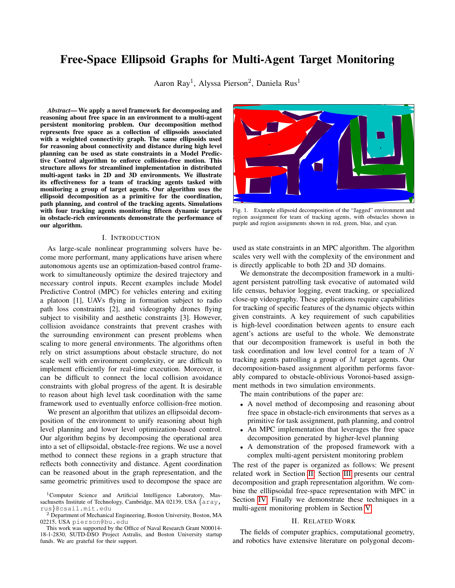<span id="page-3-0"></span>

Fig. 3. Example of switching indices  $h_t$  and  $h_e$ . The first half of the trajectory (in blue) optimizes cost  $I^1(x)$  based on distance to intermediate waypoint. The second half of the trajectory (in magenta) optimizes cost  $\ell^2(x)$  toward the following waypoint. The switching indices are updated between MPC iterations depending on the predicted trajectory. In general,  $h_e$  and  $h_t$  need not be the same.

dynamically updated "cost switching" index ensures further progress toward the following waypoint. A similar updating index constrains each point on the planning horizon to be inside one of two free-space ellipsoids.

# *A. Cost Switching*

To make progress toward the final goal position, we expect the agent to move toward the next waypoint in the sequence generated by the path planning algorithm. In practice, this intermediate waypoint may be within the planning horizon. It would be undesirable for the waypoint to be fixed for the entire planning horizon, which would lead to a trajectory that slows down or stops at the waypoint. Instead, part of the trajectory has a cost function related to the closest waypoint, while the rest is incentivized to reach the following waypoint.

We denote the cost functions related to the first and second waypoints as  $l^1(\mathbf{x})$  and  $l^2(\mathbf{x})$ . In the simple case where the agent's only objective is moving between a fixed start and end point, then  $l^1$  and  $l^2$  is the distance between the target and corresponding waypoint. Our case study in Section [V](#page-4-0) shows an example of a more complicated cost function. We define a *cost switching index*  $h_t$ , which determines when the MPC switches from the primary cost function  $l^1$  to the secondary cost function  $l^2$ . Initially,  $h_t$  is set to  $N + 1$ , one larger than the MPC horizon. Each time a solution is returned from the MPC, the predicted trajectory for the agent is compared to the intermediate waypoint location.  $h_t$  is set to the first index where the tracking trajectory enters within some radius of the waypoint. After this point, it spends the rest of the horizon optimizing for the secondary goal. As the agent approaches the first waypoint,  $h_t$  decreases and more of the trajectory is pulled toward the second waypoint. This effect is illustrated in Figure [3.](#page-3-0)

# *B. Constraint Switching*

Staying within the union of obstacle-free ellipsoids  $E$ allows an agent to avoid collisions with the environment. However, the union of ellipsoids is nonconvex, and imposing the constraint directly onto the MPC increases solution times and leads to poor local optima. Previous works [27], [28] address this issue by formulating the constraints as a mixedinteger convex nonlinear program, where exactly one convex region is the active constraint at each timestep. Unfortunately, requiring the solver to support integer constraints removes the possibility of using faster continuous nonlinear solvers. Instead, we employ a *constraint switching index*  $h_e$  analogous to the cost switching index that controls which freespace ellipsoid constrains each stage of the MPC.

The ellipsoids that we choose come from the path planning solution  $E^*$ . The first ellipsoid contains the agent and first waypoint. The second ellipsoid contains the first and second waypoints. We denote the first and second collision avoidance ellipsoids as  $\mathcal{M}_1(M_1, m_1)$  and  $\mathcal{M}_2(M_2, m_2)$ . The first ellipsoid constraint is active until step  $h_e$  of the MPC horizon. The second ellipsoid constraint is active from step  $h_e$  onward. This results in a pair of quadratic constraints for each agent,  $k\mathbf{x}_k$   $\mathbf{m}_i k_{M_i}^2$   $d_k$ ,  $i \, \hat{2} \, \mathcal{F}0, 1 \, \text{g}$ , defined for each step  $k$  of the MPC horizon.

Setting  $d_k^i$  to 1 constrains **x** to be within ellipsoid  $\mathcal{M}_i$  at time k. Setting  $d_k$  to 1 turns off the constraint at time k. We set  $d_k^0$  to 1 if  $k$  h<sub>e</sub>, and 1 otherwise. Similarly,  $d_k^1$  is equal to 1 if  $k < h_e$ , and 1 otherwise. Thus, in the interval  $[0, h_e)$ , only the  $\mathcal{M}_1$  ellipsoid constraint must be satisfied, and vice-versa for  $[h_e, N \ 1]$ . Within each of these intervals, the feasible positions for x are convex, which yields more reliable MPC performance in practice. We update  $h_e$  in a similar manner to  $h_t$ , based on what portion of the previous MPC solution was contained in the second ellipsoid.

### *C. Full Formulation*

The full MPC formulation can be written as a constrained nonlinear optimization problem:

<span id="page-3-2"></span>
$$
\underset{\mathbf{w}_{1:N},\mathbf{u}_{1:N}}{\text{argmin}} \quad \underset{k=1}{\overset{1}{\mathcal{U}}_{k}(\mathbf{x}_{k})} \mathbb{1}(k < h_{t}) + l_{k}^{2}(\mathbf{x}_{k}) \mathbb{1}(k - h_{t}) + q(\mathbf{u}_{k})
$$
\n
$$
\tag{1a}
$$

s.t. 
$$
W_1 = W(0)
$$
, (1b)

$$
\mathbf{w}(t_{c,n}) = f(\mathbf{w}(t_{c,n}), \mathbf{u}(t_{c,n})), \qquad (1c)
$$

<span id="page-3-1"></span>
$$
k\mathbf{x}_k
$$
  $\mathbf{m}_i k_{M_i}^2$   $d_k^i$ ,  $i \, 2 \, \text{f0}, \, 1g$  (1d)

w 2 W, u 2 U, 8k 2 f1, . . . , Ng. (1e)

In our implementation, the system dynamics  $\mathbf{w} = f(\mathbf{w}, \mathbf{u})$ are enforced with a third order collocation method [\(1c\)](#page-3-1), as discussed in [29].  $t_{c,n}$  denotes the time corresponding to the  $n<sup>th</sup>$  collocation point, and the resulting constraint can be represented directly in terms of  $W_{1:N}$  and  $U_{1:N}$ . A control effort regularization function  $q$  is added to the cost function to encourage smoother control inputs. We let  $q(\mathbf{u})$  be proportional to  $k\mathbf{u}k^2$ . The first control input  $\mathbf{u}_1$  is applied to the system, and then the optimization re-solved in a receding horizon manner.

Note that the number of constraints necessary to enforce collision-free motion is constant and independent of the environment's complexity. While a polytope representation of free space results in a varying number of halfplane constraints, here we always have two constraints based two ellipsoids. This greatly aids MPC implementations where the solver is pre-compiled or reused between iterations.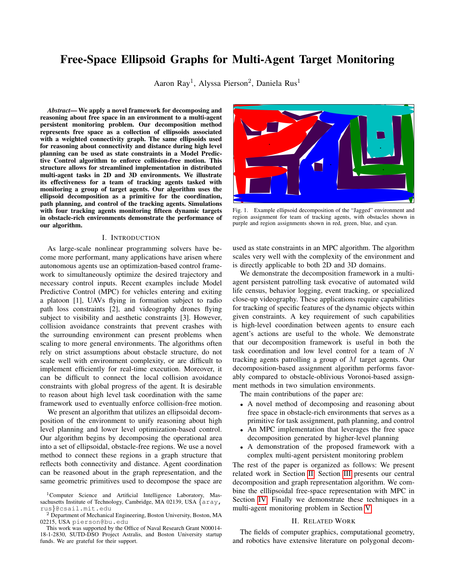# V. PERSISTENT MONITORING CASE STUDY

<span id="page-4-0"></span>We consider a multi-agent patrolling problem to demonstrate how our ellipsoidal decomposition algorithm provides a useful tool for jointly reasoning about planning and control. A team of tracking agents must periodically visit a group of moving target agents from a relative viewpoint. We demonstrate a task assignment algorithm that uses the decomposition graph G to reason about task assignments for the agents, and then uses the ellipsoids associated with paths in G to impose collision avoidance constraints in a viewpointaware MPC. We evaluate the proposed algorithm in a 2D simulation in two different environments that feature nonconvex obstacles of varying shape and size, shown in Figure [1](#page-0-1) (Jagged Environment) and Figure [2](#page-2-2) (Spiral Environment).

# *A. Problem Formulation*

Here, a team of N trackers seeks to observe  $M$  targets, with target-centric viewpoints specified as objectives. The team of tracking agents must be controlled to minimize the time between observations of each target. For each target  $m \nightharpoonup \mathcal{F}$ , ...,  $Mg$  we denote the desired viewing direction  $\eta$ , viewpoint tolerance  $\theta$ , and maximum distance  $r_{\text{max}}$ . For a tracking agent to successfully observe target  $m$ , it must enter a circular arc relative to m with medial axis  $\eta$ , angle  $\theta$ , and radius  $r_{max}$ .

Tracking agents move subject to second order unicycle dynamics, with the state consisting of position, heading angle, linear velocity, and angular velocity:  $w = x, y, \theta, v, \omega$ , and the control input consisting of longitudinal and angular acceleration:  $\mathbf{u} = [a, \alpha]$  The dynamics evolve according to  $\mathbf{w} = [v \cos(\theta); v \sin(\theta); \omega; a; \alpha].$ 

The tracking agents are constrained to have a velocity in the range  $[0, 3]m/s$ , with acceleration constrained to be in [ 1, 1] $m/s<sup>2</sup>$ . Angular velocity is constrained to [ 3, 3] rad/s, with angular acceleration constrained to  $\begin{bmatrix} 2, 2 \end{bmatrix}$  rad/s<sup>2</sup>. The acceleration constraints and second order dynamics make this a nontrivial control problem, even before considering the viewpoint cost function.

The target agents are given random obstacle-free destination points in the environment and move according to a first order unicycle model with a constant velocity of  $0.3m/s$  (angular velocity is controlled directly). They plan intermediate waypoints with the method outlined in Section [III-C,](#page-2-3) and heading is driven with a Proportional Derivative (PD) feedback controller. By virtue of the waypoint choice, the target agents are usually in obstacle-free space, although they may occasionally drive through obstacles.

# *B. Task Assignment*

Before task execution, the approximate ellipsoidal decomposition of free space  $G$  is constructed. At runtime, each tracking agent is assigned a subset of the targets it is responsible for observing. This subset updates according to changes in distribution of targets. Each tracking agent plans an order for visiting each of its assigned targets. The assignment order is used to generate a collision-free reference path for the tracker, which is followed by an MPC.

We examine two complementary methods for the assignment step. The first method dynamically updates each agent's

region of responsibility online. Let  $\hat{D}(\mathbf{x}_i, \mathbf{x}_j)$  return the shortest distance based on the approximation from  $G'$ . Each target is assigned to the closest tracker, as estimated by  $\hat{D}$ . The second method finds a static partition of the environment and assigns each tracker agent to a fixed region. We partition the set of free-space ellipsoids among the tracking agents with a greedy k-center approximation problem. For a metric graph  $G = (V, E)$ , the k-center problem is to find a subset of vertices  $V 2 V$  such that the maximum distance between any vertex in G and a vertex in  $\vee$  is minimized. The problem is NP-Complete, but there is a simple heuristic that guarantees at most twice the optimal distance: with  $\vee$  initialized with a single random node, add the node in  $\vee$  that is furthest from any node in  $\vee$  and repeat  $k$  1 times [30]. Such a decomposition is illustrated in Figure [1.](#page-0-1) Each tracking agent is assigned responsibility for the targets currently in its designated partition. While the regions have some overlap, they generally ensure that the tracking agents are distributed around the environment. The two methods of dividing targets can be used interchangeably, depending on whether it is desirable to have each agent confined to a known region.

Once the targets have been divided among the tracking agents, a greedy heuristic  $h$  is used to guide the tracker's visitation order of its assigned targets. The visitation order heuristic is a weighted combination of each target's distance and the amount of time since it has been surveyed. Formally,

$$
h^i = \hat{D}(\mathbf{x}_{\text{tracker}}, \mathbf{x}_{\text{target}}^i) \quad w_{\text{staleness}}(t_{\text{now}} \quad t_{\text{seen}}^i).
$$

The heuristic balances opportunism in viewing targets that are convenient with an incentive to seek out targets that have not been seen in a while. The targets are pursued in ascending order of  $h_i$ , although as the ordering is updated at every timestep only the first two targets affect the control policy.

# *C. MPC Viewpoint Cost*

We define a viewpoint cost function that encodes the desire to view the target from a specific angle and distance. Consider a target at position  $x_{target}$  with a desired viewing direction  $\eta$ . In order to get the desired observation of the target, the tracking agent must enter into an arc with opening angle  $\theta$  around  $\eta$ , and within distance r. Let  $\times$  denote the vector from  $x_{target}$  to  $x_{tracer}$ . The viewpoint cost function  $l$  is composed of a term that penalizes the deviation of  $\times$ from the direction of  $\eta$  and the length of  $\times$  from the desired viewing distance. The viewpoint cost function is defined as

<span id="page-4-1"></span>
$$
l(x) = \frac{\mathbf{x}^T}{k\mathbf{x}^T}\boldsymbol{\eta} + (k\mathbf{x}^2 - r^2)^2.
$$
 (2)

The position and direction of interest of the target are predicted over the horizon of the MPC planning. As a result,  $l(x)$  is implicitly a function of time from the timedependence of  $\times$  and  $\eta$ . We make this explicit by notating  $l_i(\mathbf{x})$  as the cost function relative to the target at time i. Our implementation predicts the target's future motion assuming no control inputs are applied to the target over the planning horizon. When a tracker agent's current position relative to its current target enters the desired viewing cone, we consider the target to have been visited. When the tracking and target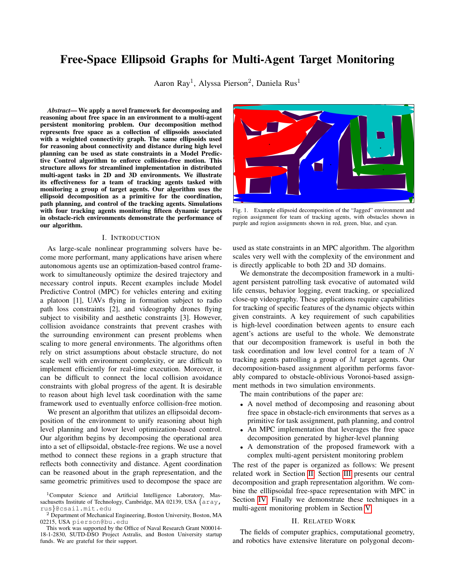agent share an ellipsoid or are in adjacent ellipsoids, the cost function l is used as cost  $l^1$  or  $l^2$  in [\(1\)](#page-3-2). In this case, the cost switching index  $h_t$  can be updated based on when the predicted trajectory enters the target's viewing cone.

# *D. Simulation*

The viewpoint-optimizing cost function [\(2\)](#page-4-1) for each agent is optimized subject to the agent dynamics by implementing [\(1\)](#page-3-2) in Casadi [31] and solving with IPOPT [32]. The MPC considers a five second horizon, comprised of 40 equallyspaced steps. It takes an average of 50ms per MPC solution on an Intel Core i7-9750H CPU @ 2.60GHz. The MPC is given its previous solution as an initial guess. The computation for decomposition and graph construction is dominated by the ellipse inflation at each seed point. The ellipse inflation takes under 6 seconds in both test environments.

Still frames from our video illustrating the tracking task within Environment 2 are shown in Figure [6.](#page-5-0) We simulate both the static and dynamic ellipsoid region assignment algorithms. We compare these algorithms to a static and dynamic obstacle-oblivious assignment methods. The first comparison is to a static, obstacle-oblivious Voronoi partition of the space, with the same seed points used as the k-centers defining the ellipsoid partition. The second comparison is a dynamic Voronoi assignment algorithm, where targets are assigned to the closest tracker at every iteration without consideration of obstacles. All four algorithms use the same path planning and MPC implementations. Figure [4](#page-5-1) presents the mean time between visits for targets, and Figure [5](#page-5-2) presents the maximum time between visits for the targets over 51 runs. Each run randomizes the initial positions of the target agents and simulates 625 seconds of the tracking task. The static region assignments are slightly different between runs due to the stochastic nature of the k-centers approximation algorithm.

In both domains, the algorithms with dynamically allocated regions of responsibility outperform the static region assignments. This is unsurprising, as dynamic partitioning enables tracking agents to directly respond to shifting distributions of the target agents. In both environments, the dynamic ellipsoid decomposition method outperforms the dynamic Voronoi method, for both metrics of mean visit delay and maximum visit delay. The static ellipsoid decomposition slightly underperforms the static Voronoi method in the Spiral environment and outperforms it in the Jagged environment. The static ellipsoid decomposition compares most favorably when there are larger free-space regions thinly separated by obstacles, which is better reflected in the Jagged environment. Overall, these simulations demonstrate the efficacy of our ellipsoid decomposition and path planning to perform complex multi-agent tasks.

# VI. CONCLUSIONS AND FUTURE WORK

This paper has demonstrated a novel method for decomposing and reasoning about spatial structure in obstaclerich 2D and 3D environments. The obstacle aware ellipsoidbased graph decomposition enables high-level coordination between agents, path planning, and collision-free motion planning in a unified representation. We have demonstrated

<span id="page-5-1"></span>

Fig. 4. Mean time between target visitation for the four algorithms.

<span id="page-5-2"></span>

Fig. 5. Max time between target visitation for the four algorithms.

<span id="page-5-0"></span>

Fig. 6. Evolution of a tracking simulation over time. Four tracking agents are pictured as black dots. Purple blocks represent obstacles. Red dots represent targets of interest, and red triangles are relative viewpoint from which they must be viewed by a tracker. Green lines are the tracking agents' MPC plan at the current iteration. The dark blue line connects each tracker with its currently-assigned target.

the utility of this framework with a multi-agent persistent monitoring task where an MPC algorithm leverages the decomposition to monitor a team of target agents from desired viewpoints. We hope to extend the applications of this ellipsoid framework to other multi-agent tasks as a coordination and planning primitive.

#### **REFERENCES**

[1] S. Graffione, C. Bersani, R. Sacile, and E. Zero, "Non-linear mpc for longitudinal and lateral control of vehicle's platoon with insert and exit manoeuvres," in *International Conference on Informatics in Control, Automation and Robotics*. Springer, 2020, pp. 497–518.